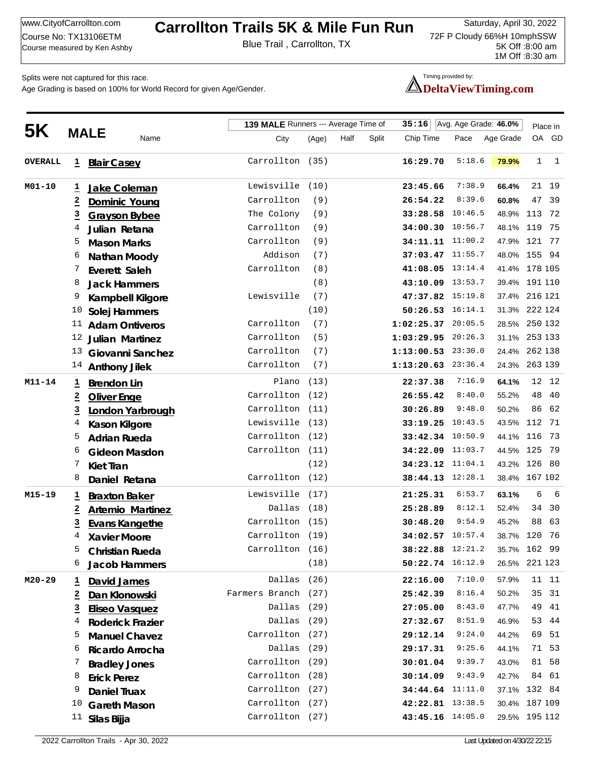## **Saturday, April 30, 2022 Carrollton Trails 5K & Mile Fun Run**

Course No. 17151002 MM<br>Course measured by Ken Ashby Blue Trail, Carrollton, TX

72F P Cloudy 66%H 10mphSSW 5K Off :8:00 am 1M Off :8:30 am

Course No: TX13106ETM

Splits were not captured for this race.

Age Grading is based on 100% for World Record for given Age/Gender.

## Timing provided by: **DeltaViewTiming.com**

| 5K             |                         |                         |                     | 139 MALE Runners --- Average Time of |      |       | 35:16                  | Avg. Age Grade: 46.0% | Place in      |             |              |
|----------------|-------------------------|-------------------------|---------------------|--------------------------------------|------|-------|------------------------|-----------------------|---------------|-------------|--------------|
|                |                         | <b>MALE</b><br>Name     | City                | (Age)                                | Half | Split | Chip Time              | Pace                  | Age Grade     |             | OA GD        |
| <b>OVERALL</b> | $\overline{1}$          | <b>Blair Casey</b>      | Carrollton (35)     |                                      |      |       | 16:29.70               | 5:18.6                | 79.9%         | $\mathbf 1$ | <sup>1</sup> |
| M01-10         | Ξ                       | Jake Coleman            | Lewisville (10)     |                                      |      |       | 23:45.66               | 7:38.9                | 66.4%         |             | 21 19        |
|                | $\overline{a}$          | <b>Dominic Young</b>    | Carrollton          | (9)                                  |      |       | 26:54.22               | 8:39.6                | 60.8%         | 47          | 39           |
|                | $\overline{\mathbf{3}}$ | <b>Grayson Bybee</b>    | The Colony          | (9)                                  |      |       |                        | 33:28.58 10:46.5      | 48.9%         | 113         | 72           |
|                | 4                       | Julian Retana           | Carrollton          | (9)                                  |      |       |                        | 34:00.30 10:56.7      | 48.1% 119     |             | 75           |
|                | 5                       | <b>Mason Marks</b>      | Carrollton          | (9)                                  |      |       |                        | 34:11.11 11:00.2      | 47.9% 121 77  |             |              |
|                | 6                       | Nathan Moody            | Addison             | (7)                                  |      |       |                        | 37:03.47 11:55.7      | 48.0% 155 94  |             |              |
|                | 7                       | Everett Saleh           | Carrollton          | (8)                                  |      |       |                        | 41:08.05 13:14.4      | 41.4% 178 105 |             |              |
|                | 8                       | <b>Jack Hammers</b>     |                     | (8)                                  |      |       |                        | 43:10.09 13:53.7      | 39.4% 191 110 |             |              |
|                | 9                       | Kampbell Kilgore        | Lewisville          | (7)                                  |      |       |                        | 47:37.82 15:19.8      | 37.4% 216 121 |             |              |
|                | 10                      | Solej Hammers           |                     | (10)                                 |      |       |                        | $50:26.53$ $16:14.1$  | 31.3% 222 124 |             |              |
|                | 11                      | <b>Adam Ontiveros</b>   | Carrollton          | (7)                                  |      |       | $1:02:25.37$ 20:05.5   |                       | 28.5% 250 132 |             |              |
|                | 12                      | Julian Martinez         | Carrollton          | (5)                                  |      |       | $1:03:29.95$ $20:26.3$ |                       | 31.1% 253 133 |             |              |
|                | 13                      | Giovanni Sanchez        | Carrollton          | (7)                                  |      |       | 1:13:00.53 23:30.0     |                       | 24.4% 262 138 |             |              |
|                | 14                      | <b>Anthony Jilek</b>    | Carrollton          | (7)                                  |      |       | 1:13:20.63 23:36.4     |                       | 24.3% 263 139 |             |              |
| M11-14         | Ŧ                       | <b>Brendon Lin</b>      | Plano               | (13)                                 |      |       | 22:37.38               | 7:16.9                | 64.1%         |             | 12 12        |
|                | $\overline{z}$          | <b>Oliver Enge</b>      | Carrollton (12)     |                                      |      |       | 26:55.42               | 8:40.0                | 55.2%         | 48          | 40           |
|                | $\overline{3}$          | London Yarbrough        | Carrollton (11)     |                                      |      |       | 30:26.89               | 9:48.0                | 50.2%         | 86          | 62           |
|                | 4                       | <b>Kason Kilgore</b>    | Lewisville (13)     |                                      |      |       |                        | 33:19.25 10:43.5      | 43.5%         | 112         | 71           |
|                | 5                       | <b>Adrian Rueda</b>     | Carrollton (12)     |                                      |      |       |                        | 33:42.34 10:50.9      | 44.1%         | 116         | 73           |
|                | 6                       | <b>Gideon Masdon</b>    | Carrollton (11)     |                                      |      |       |                        | 34:22.09 11:03.7      | 44.5% 125     |             | 79           |
|                | 7                       | <b>Kiet Tran</b>        |                     | (12)                                 |      |       |                        | 34:23.12 11:04.1      | 43.2% 126     |             | - 80         |
|                | 8                       | Daniel Retana           | Carrollton (12)     |                                      |      |       |                        | 38:44.13 12:28.1      | 38.4% 167 102 |             |              |
| M15-19         | <u>ュ</u>                | <b>Braxton Baker</b>    | Lewisville (17)     |                                      |      |       | 21:25.31               | 6:53.7                | 63.1%         | 6           | 6            |
|                | $\overline{\mathbf{2}}$ | <b>Artemio Martinez</b> | Dallas (18)         |                                      |      |       | 25:28.89               | 8:12.1                | 52.4%         | 34          | 30           |
|                | $\overline{3}$          | <b>Evans Kangethe</b>   | Carrollton (15)     |                                      |      |       | 30:48.20               | 9:54.9                | 45.2%         | 88          | 63           |
|                | 4                       | <b>Xavier Moore</b>     | Carrollton (19)     |                                      |      |       |                        | 34:02.57 10:57.4      | 38.7%         | 120         | 76           |
|                | 5                       | <b>Christian Rueda</b>  | Carrollton (16)     |                                      |      |       |                        | 38:22.88 12:21.2      | 35.7% 162     |             | 99           |
|                | 6                       | <b>Jacob Hammers</b>    |                     | (18)                                 |      |       |                        | 50:22.74 16:12.9      | 26.5% 221 123 |             |              |
| $M20 - 29$     | 1                       | David James             | Dallas              | (26)                                 |      |       | 22:16.00               | 7:10.0                | 57.9%         |             | 11 11        |
|                | $\overline{\mathbf{2}}$ | Dan Klonowski           | Farmers Branch (27) |                                      |      |       | 25:42.39               | 8:16.4                | 50.2%         | 35          | - 31         |
|                | $\overline{\mathbf{3}}$ | <b>Eliseo Vasquez</b>   | Dallas (29)         |                                      |      |       | 27:05.00               | 8:43.0                | 47.7%         | 49          | 41           |
|                | 4                       | <b>Roderick Frazier</b> | Dallas (29)         |                                      |      |       | 27:32.67               | 8:51.9                | 46.9%         | 53          | 44           |
|                | 5                       | <b>Manuel Chavez</b>    | Carrollton (27)     |                                      |      |       | 29:12.14               | 9:24.0                | 44.2%         | 69          | 51           |
|                | 6                       | Ricardo Arrocha         | Dallas (29)         |                                      |      |       | 29:17.31               | 9:25.6                | 44.1%         |             | 71 53        |
|                | 7                       | <b>Bradley Jones</b>    | Carrollton (29)     |                                      |      |       | 30:01.04               | 9:39.7                | 43.0%         | 81          | 58           |
|                | 8                       | <b>Erick Perez</b>      | Carrollton (28)     |                                      |      |       | 30:14.09               | 9:43.9                | 42.7%         |             | 84 61        |
|                | 9                       | <b>Daniel Truax</b>     | Carrollton (27)     |                                      |      |       |                        | 34:44.64 11:11.0      | 37.1% 132 84  |             |              |
|                | 10                      | <b>Gareth Mason</b>     | Carrollton (27)     |                                      |      |       |                        | 42:22.81 13:38.5      | 30.4% 187 109 |             |              |
|                | 11                      | Silas Bijja             | Carrollton (27)     |                                      |      |       |                        | 43:45.16 14:05.0      | 29.5% 195 112 |             |              |
|                |                         |                         |                     |                                      |      |       |                        |                       |               |             |              |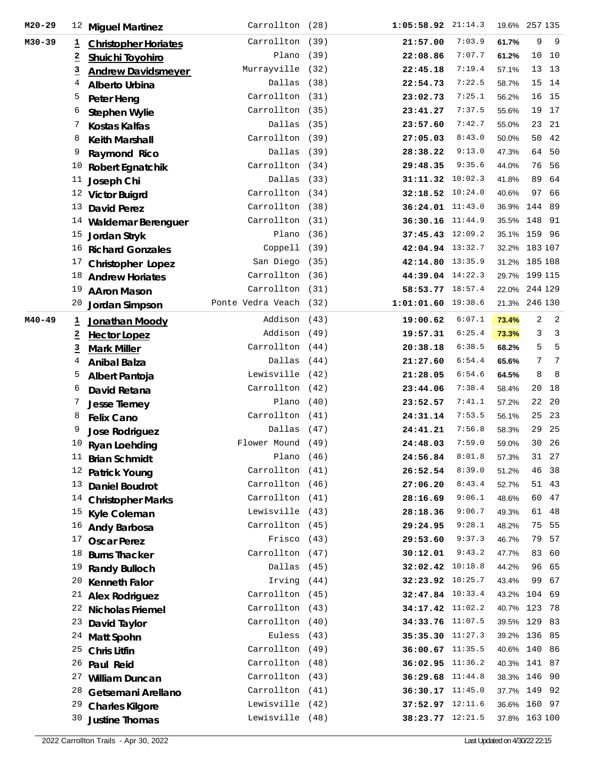| $M20 - 29$ | 12             | <b>Miguel Martinez</b>           | Carrollton (28)        |      | $1:05:58.92$ 21:14.3 |        |           | 19.6% 257 135       |
|------------|----------------|----------------------------------|------------------------|------|----------------------|--------|-----------|---------------------|
| M30-39     | T,             | <b>Christopher Horiates</b>      | Carrollton (39)        |      | 21:57.00             | 7:03.9 | 61.7%     | 9<br>- 9            |
|            | $\overline{2}$ | <b>Shuichi Toyohiro</b>          | Plano $(39)$           |      | 22:08.86             | 7:07.7 | 61.2%     | 10<br>10            |
|            | $\overline{3}$ | <b>Andrew Davidsmeyer</b>        | Murrayville (32)       |      | 22:45.18             | 7:19.4 | 57.1%     | 13<br>13            |
|            | 4              | <b>Alberto Urbina</b>            | Dallas (38)            |      | 22:54.73             | 7:22.5 | 58.7%     | 15<br>14            |
|            | 5              | Peter Heng                       | Carrollton (31)        |      | 23:02.73             | 7:25.1 | 56.2%     | 16<br>15            |
|            | 6              | <b>Stephen Wylie</b>             | Carrollton (35)        |      | 23:41.27             | 7:37.5 | 55.6%     | 19 17               |
|            | 7              | <b>Kostas Kalfas</b>             | Dallas (35)            |      | 23:57.60             | 7:42.7 | 55.0%     | 23<br>21            |
|            | 8              | <b>Keith Marshall</b>            | Carrollton (39)        |      | 27:05.03             | 8:43.0 | 50.0%     | 50<br>42            |
|            | 9              | Raymond Rico                     | Dallas (39)            |      | 28:38.22             | 9:13.0 | 47.3%     | 64<br>50            |
|            | 10             | <b>Robert Egnatchik</b>          | Carrollton (34)        |      | 29:48.35             | 9:35.6 | 44.0%     | 76<br>56            |
|            | 11             | Joseph Chi                       | Dallas (33)            |      | 31:11.32 10:02.3     |        | 41.8%     | 89<br>64            |
|            |                | <sup>12</sup> Victor Buigrd      | Carrollton (34)        |      | 32:18.52 10:24.0     |        | 40.6%     | 97<br>66            |
|            | 13             | <b>David Perez</b>               | Carrollton (38)        |      | $36:24.01$ 11:43.0   |        | 36.9%     | 144<br>- 89         |
|            |                | <sup>14</sup> Waldemar Berenguer | Carrollton (31)        |      | 36:30.16 11:44.9     |        | 35.5% 148 | 91                  |
|            | 15             | Jordan Stryk                     | Plano $(36)$           |      | 37:45.43 12:09.2     |        |           | 35.1% 159 96        |
|            | 16             | <b>Richard Gonzales</b>          | Coppel1 (39)           |      | 42:04.94 13:32.7     |        |           | 32.2% 183 107       |
|            | 17             | <b>Christopher Lopez</b>         | San Diego (35)         |      | 42:14.80 13:35.9     |        |           | 31.2% 185 108       |
|            | 18             | <b>Andrew Horiates</b>           | Carrollton (36)        |      | 44:39.04 14:22.3     |        |           | 29.7% 199 115       |
|            | 19             | <b>AAron Mason</b>               | Carrollton (31)        |      | 58:53.77 18:57.4     |        |           | 22.0% 244 129       |
|            | 20             | Jordan Simpson                   | Ponte Vedra Veach (32) |      | 1:01:01.60 19:38.6   |        |           | 21.3% 246 130       |
| $M40 - 49$ | ı              | Jonathan Moody                   | Addison (43)           |      | 19:00.62             | 6:07.1 | 73.4%     | $\overline{a}$<br>2 |
|            | $\overline{a}$ | <b>Hector Lopez</b>              | Addison (49)           |      | 19:57.31             | 6:25.4 | 73.3%     | 3<br>$\overline{3}$ |
|            | $\overline{3}$ | <b>Mark Miller</b>               | Carrollton (44)        |      | 20:38.18             | 6:38.5 | 68.2%     | 5<br>5              |
|            | 4              | <b>Anibal Balza</b>              | Dallas (44)            |      | 21:27.60             | 6:54.4 | 65.6%     | 7<br>7              |
|            | 5              | Albert Pantoja                   | Lewisville (42)        |      | 21:28.05             | 6:54.6 | 64.5%     | 8<br>8              |
|            | 6              | David Retana                     | Carrollton (42)        |      | 23:44.06             | 7:38.4 | 58.4%     | 20<br>18            |
|            | 7              | <b>Jesse Tierney</b>             | Plano $(40)$           |      | 23:52.57             | 7:41.1 | 57.2%     | 22<br>20            |
|            | 8              | <b>Felix Cano</b>                | Carrollton (41)        |      | 24:31.14             | 7:53.5 | 56.1%     | 25<br>23            |
|            | 9              | Jose Rodriguez                   | Dallas (47)            |      | 24:41.21             | 7:56.8 | 58.3%     | 29<br>25            |
|            | 10             | Ryan Loehding                    | Flower Mound (49)      |      | 24:48.03             | 7:59.0 | 59.0%     | 30<br>-26           |
|            |                | <b>Brian Schmidt</b>             | Plano                  | (46) | 24:56.84             | 8:01.8 | 57.3%     | 31<br>27            |
|            | 12             | <b>Patrick Young</b>             | Carrollton (41)        |      | 26:52.54             | 8:39.0 | 51.2%     | 46<br>38            |
|            | 13             | <b>Daniel Boudrot</b>            | Carrollton (46)        |      | 27:06.20             | 8:43.4 | 52.7%     | 51<br>43            |
|            |                | <sup>14</sup> Christopher Marks  | Carrollton (41)        |      | 28:16.69             | 9:06.1 | 48.6%     | 47<br>60            |
|            | 15             | Kyle Coleman                     | Lewisville (43)        |      | 28:18.36             | 9:06.7 | 49.3%     | 61<br>48            |
|            | 16             | <b>Andy Barbosa</b>              | Carrollton (45)        |      | 29:24.95             | 9:28.1 | 48.2%     | 75<br>55            |
|            | 17             | <b>Oscar Perez</b>               | Frisco (43)            |      | 29:53.60             | 9:37.3 | 46.7%     | 79<br>57            |
|            | 18             | <b>Burns Thacker</b>             | Carrollton (47)        |      | 30:12.01             | 9:43.2 | 47.7%     | 83 60               |
|            | 19             | <b>Randy Bulloch</b>             | Dallas (45)            |      | 32:02.42 10:18.8     |        | 44.2%     | 96 65               |
|            | 20             | <b>Kenneth Falor</b>             | Irving (44)            |      | 32:23.92 10:25.7     |        | 43.4%     | 99<br>67            |
|            | 21             | <b>Alex Rodriguez</b>            | Carrollton (45)        |      | 32:47.84 10:33.4     |        | 43.2% 104 | 69                  |
|            | 22             | <b>Nicholas Friemel</b>          | Carrollton (43)        |      | 34:17.42 11:02.2     |        |           | 40.7% 123 78        |
|            | 23             | David Taylor                     | Carrollton (40)        |      | 34:33.76 11:07.5     |        |           | 39.5% 129 83        |
|            | 24             | <b>Matt Spohn</b>                | Euless (43)            |      | 35:35.30 11:27.3     |        |           | 39.2% 136 85        |
|            | 25             | <b>Chris Litfin</b>              | Carrollton (49)        |      | 36:00.67 11:35.5     |        |           | 40.6% 140 86        |
|            | 26             | Paul Reid                        | Carrollton (48)        |      | 36:02.95 11:36.2     |        |           | 40.3% 141 87        |
|            | 27             | <b>William Duncan</b>            | Carrollton (43)        |      | 36:29.68 11:44.8     |        |           | 38.3% 146 90        |
|            | 28             | Getsemani Arellano               | Carrollton (41)        |      | 36:30.17 11:45.0     |        |           | 37.7% 149 92        |
|            | 29             | <b>Charles Kilgore</b>           | Lewisville (42)        |      | 37:52.97 12:11.6     |        |           | 36.6% 160 97        |
|            | 30             | <b>Justine Thomas</b>            | Lewisville (48)        |      | 38:23.77 12:21.5     |        |           | 37.8% 163 100       |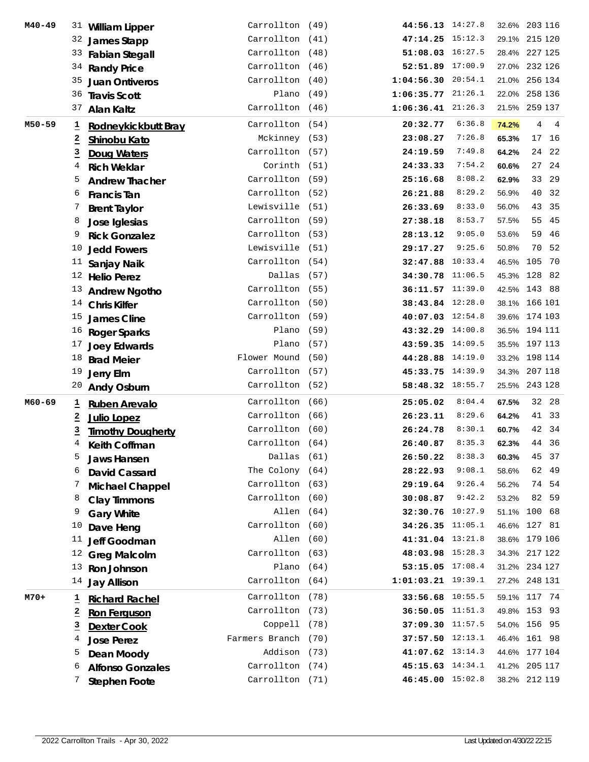| $M40 - 49$ | 31                      | <b>William Lipper</b>       | Carrollton (49)     | 44:56.13 14:27.8       |        |           | 32.6% 203 116                    |
|------------|-------------------------|-----------------------------|---------------------|------------------------|--------|-----------|----------------------------------|
|            |                         | 32 James Stapp              | Carrollton (41)     | 47:14.25 15:12.3       |        |           | 29.1% 215 120                    |
|            |                         | 33 Fabian Stegall           | Carrollton (48)     | 51:08.03 16:27.5       |        |           | 28.4% 227 125                    |
|            |                         | 34 Randy Price              | Carrollton (46)     | 52:51.89 17:00.9       |        |           | 27.0% 232 126                    |
|            | 35                      | <b>Juan Ontiveros</b>       | Carrollton (40)     | 1:04:56.30 20:54.1     |        |           | 21.0% 256 134                    |
|            |                         | <sup>36</sup> Travis Scott  | Plano (49)          | 1:06:35.77 21:26.1     |        |           | 22.0% 258 136                    |
|            | 37                      | <b>Alan Kaltz</b>           | Carrollton (46)     | $1:06:36.41$ $21:26.3$ |        |           | 21.5% 259 137                    |
| M50-59     | 1                       | Rodneykickbutt Bray         | Carrollton (54)     | 20:32.77               | 6:36.8 | 74.2%     | $\overline{4}$<br>$\overline{4}$ |
|            | $\overline{z}$          | Shinobu Kato                | Mckinney (53)       | 23:08.27               | 7:26.8 | 65.3%     | 17 16                            |
|            | $\overline{a}$          | Doug Waters                 | Carrollton (57)     | 24:19.59               | 7:49.8 | 64.2%     | 24<br>- 22                       |
|            | 4                       | <b>Rich Weklar</b>          | Corinth (51)        | 24:33.33               | 7:54.2 | 60.6%     | 27<br>-24                        |
|            | 5                       | <b>Andrew Thacher</b>       | Carrollton (59)     | 25:16.68               | 8:08.2 | 62.9%     | 33 29                            |
|            | 6                       |                             | Carrollton (52)     | 26:21.88               | 8:29.2 | 56.9%     | 40<br>32                         |
|            | 7                       | <b>Francis Tan</b>          | Lewisville (51)     | 26:33.69               | 8:33.0 | 56.0%     | 43<br>35                         |
|            |                         | <b>Brent Taylor</b>         | Carrollton (59)     | 27:38.18               | 8:53.7 | 57.5%     | 55<br>45                         |
|            | 8                       | Jose Iglesias               | Carrollton (53)     |                        | 9:05.0 | 53.6%     | 59<br>46                         |
|            | 9                       | <b>Rick Gonzalez</b>        |                     | 28:13.12               | 9:25.6 |           | 70 52                            |
|            | 10                      | <b>Jedd Fowers</b>          | Lewisville (51)     | 29:17.27               |        | 50.8%     |                                  |
|            | 11                      | Sanjay Naik                 | Carrollton (54)     | 32:47.88 10:33.4       |        | 46.5%     | 105<br>70                        |
|            |                         | <sup>12</sup> Helio Perez   | Dallas (57)         | 34:30.78 11:06.5       |        | 45.3% 128 | 82                               |
|            |                         | <sup>13</sup> Andrew Ngotho | Carrollton (55)     | 36:11.57 11:39.0       |        |           | 42.5% 143 88                     |
|            |                         | <sup>14</sup> Chris Kilfer  | Carrollton (50)     | 38:43.84 12:28.0       |        |           | 38.1% 166 101                    |
|            | 15                      | <b>James Cline</b>          | Carrollton (59)     | 40:07.03 12:54.8       |        |           | 39.6% 174 103                    |
|            |                         | <sup>16</sup> Roger Sparks  | Plano (59)          | 43:32.29 14:00.8       |        |           | 36.5% 194 111                    |
|            |                         | <sup>17</sup> Joey Edwards  | Plano $(57)$        | 43:59.35 14:09.5       |        |           | 35.5% 197 113                    |
|            | 18                      | <b>Brad Meier</b>           | Flower Mound (50)   | 44:28.88 14:19.0       |        |           | 33.2% 198 114                    |
|            | 19                      | Jerry Elm                   | Carrollton (57)     | 45:33.75 14:39.9       |        |           | 34.3% 207 118                    |
|            |                         | <sup>20</sup> Andy Osburn   | Carrollton (52)     | 58:48.32 18:55.7       |        |           | 25.5% 243 128                    |
| M60-69     | Ξ                       | <b>Ruben Arevalo</b>        | Carrollton (66)     | 25:05.02               | 8:04.4 | 67.5%     | 32 28                            |
|            | $\overline{z}$          | <b>Julio Lopez</b>          | Carrollton (66)     | 26:23.11               | 8:29.6 | 64.2%     | 41 33                            |
|            | <u>3</u>                | <b>Timothy Dougherty</b>    | Carrollton (60)     | 26:24.78               | 8:30.1 | 60.7%     | 42<br>- 34                       |
|            | 4                       | Keith Coffman               | Carrollton (64)     | 26:40.87               | 8:35.3 | 62.3%     | 44 36                            |
|            | 5                       | <b>Jaws Hansen</b>          | Dallas (61)         | 26:50.22               | 8:38.3 | 60.3%     | 45 37                            |
|            | 6                       | <b>David Cassard</b>        | The Colony (64)     | 28:22.93               | 9:08.1 | 58.6%     | 62 49                            |
|            | 7                       | <b>Michael Chappel</b>      | Carrollton (63)     | 29:19.64               | 9:26.4 | 56.2%     | 74 54                            |
|            | 8                       | <b>Clay Timmons</b>         | Carrollton (60)     | 30:08.87               | 9:42.2 | 53.2%     | 82 59                            |
|            | 9                       | <b>Gary White</b>           | Allen (64)          | 32:30.76 10:27.9       |        | 51.1%     | 100 68                           |
|            | 10                      | Dave Heng                   | Carrollton (60)     | 34:26.35 11:05.1       |        |           | 46.6% 127 81                     |
|            | 11                      | Jeff Goodman                | Allen (60)          | 41:31.04 13:21.8       |        |           | 38.6% 179 106                    |
|            | 12                      | <b>Greg Malcolm</b>         | Carrollton (63)     | 48:03.98 15:28.3       |        |           | 34.3% 217 122                    |
|            | 13                      | Ron Johnson                 | Plano $(64)$        | 53:15.05 17:08.4       |        |           | 31.2% 234 127                    |
|            | 14                      | <b>Jay Allison</b>          | Carrollton (64)     | 1:01:03.21 19:39.1     |        |           | 27.2% 248 131                    |
| $M70+$     |                         |                             | Carrollton (78)     | 33:56.68 10:55.5       |        |           | 59.1% 117 74                     |
|            | <u>ı</u>                | <b>Richard Rachel</b>       | Carrollton (73)     | 36:50.05 11:51.3       |        |           | 49.8% 153 93                     |
|            | $\overline{z}$          | <b>Ron Ferguson</b>         |                     |                        |        |           |                                  |
|            | $\overline{\mathbf{3}}$ | <b>Dexter Cook</b>          | Coppell (78)        | 37:09.30 11:57.5       |        |           | 54.0% 156 95                     |
|            | 4                       | <b>Jose Perez</b>           | Farmers Branch (70) | 37:57.50 12:13.1       |        |           | 46.4% 161 98                     |
|            | 5                       | Dean Moody                  | Addison (73)        | 41:07.62 13:14.3       |        |           | 44.6% 177 104                    |
|            | 6                       | <b>Alfonso Gonzales</b>     | Carrollton (74)     | 45:15.63 14:34.1       |        |           | 41.2% 205 117                    |
|            | 7                       | <b>Stephen Foote</b>        | Carrollton (71)     | 46:45.00 15:02.8       |        |           | 38.2% 212 119                    |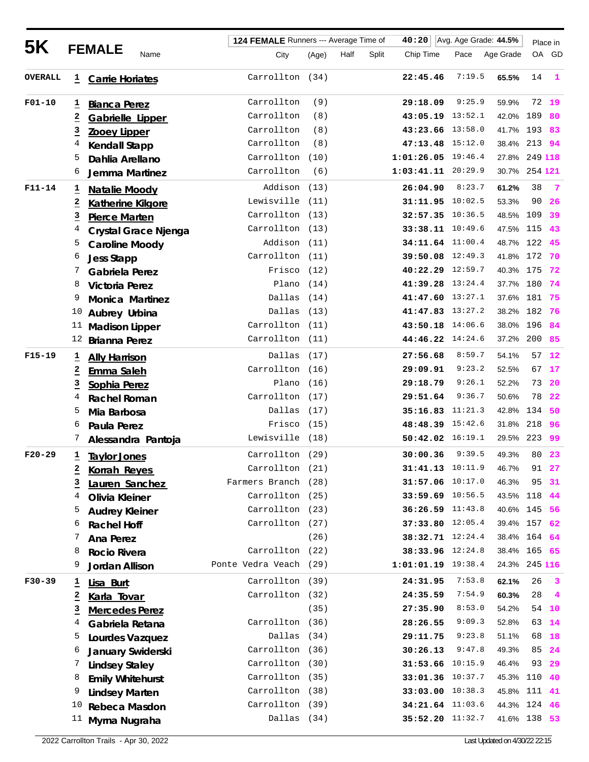|                |                                     |                          | 124 FEMALE Runners --- Average Time of |                        |       | 40:20 | Avg. Age Grade: 44.5% |                        | Place in |               |         |                         |
|----------------|-------------------------------------|--------------------------|----------------------------------------|------------------------|-------|-------|-----------------------|------------------------|----------|---------------|---------|-------------------------|
| 5K             |                                     | <b>FEMALE</b>            | Name                                   | City                   | (Age) | Half  | Split                 | Chip Time              | Pace     | Age Grade     |         | OA GD                   |
| <b>OVERALL</b> | Ŧ,                                  | <b>Carrie Horiates</b>   |                                        | Carrollton (34)        |       |       |                       | 22:45.46               | 7:19.5   | 65.5%         | 14      | $\mathbf{1}$            |
| $F01 - 10$     | ı                                   | <b>Bianca Perez</b>      |                                        | Carrollton             | (9)   |       |                       | 29:18.09               | 9:25.9   | 59.9%         | 72      | 19                      |
|                | $\overline{\mathbf{2}}$             | Gabrielle Lipper         |                                        | Carrollton             | (8)   |       |                       | 43:05.19 13:52.1       |          | 42.0%         | 189     | 80                      |
|                | $\overline{3}$                      | <b>Zooey Lipper</b>      |                                        | Carrollton             | (8)   |       |                       | 43:23.66 13:58.0       |          | 41.7% 193     |         | 83                      |
|                | 4                                   | <b>Kendall Stapp</b>     |                                        | Carrollton             | (8)   |       |                       | 47:13.48 15:12.0       |          | 38.4%         | 213     | 94                      |
|                | 5                                   | Dahlia Arellano          |                                        | Carrollton (10)        |       |       |                       | $1:01:26.05$ $19:46.4$ |          | 27.8%         | 249 118 |                         |
|                | 6                                   | Jemma Martinez           |                                        | Carrollton             | (6)   |       |                       | $1:03:41.11$ $20:29.9$ |          | 30.7% 254 121 |         |                         |
| $F11 - 14$     | Ŧ                                   | Natalie Moody            |                                        | Addison (13)           |       |       |                       | 26:04.90               | 8:23.7   | 61.2%         | 38      | $\overline{7}$          |
|                | 2                                   | <b>Katherine Kilgore</b> |                                        | Lewisville (11)        |       |       |                       | 31:11.95 10:02.5       |          | 53.3%         | 90      | 26                      |
|                | $\overline{3}$                      | <b>Pierce Marten</b>     |                                        | Carrollton (13)        |       |       |                       | 32:57.35 10:36.5       |          | 48.5%         | 109     | 39                      |
|                | 4                                   |                          | Crystal Grace Njenga                   | Carrollton (13)        |       |       |                       | 33:38.11 10:49.6       |          | 47.5% 115     |         | 43                      |
|                | 5                                   | <b>Caroline Moody</b>    |                                        | Addison (11)           |       |       |                       | 34:11.64 11:00.4       |          | 48.7% 122     |         | 45                      |
|                | 6                                   | <b>Jess Stapp</b>        |                                        | Carrollton (11)        |       |       |                       | 39:50.08 12:49.3       |          | 41.8% 172     |         | 70                      |
|                | 7                                   | <b>Gabriela Perez</b>    |                                        | Frisco (12)            |       |       |                       | 40:22.29 12:59.7       |          | 40.3% 175     |         | 72                      |
|                | 8                                   | <b>Victoria Perez</b>    |                                        | Plano                  | (14)  |       |                       | 41:39.28 13:24.4       |          | 37.7%         | 180     | 74                      |
|                | 9                                   | <b>Monica Martinez</b>   |                                        | Dallas                 | (14)  |       |                       | 41:47.60 13:27.1       |          | 37.6% 181     |         | 75                      |
|                | 10                                  | Aubrey Urbina            |                                        | Dallas                 | (13)  |       |                       | 41:47.83 13:27.2       |          | 38.2% 182     |         | 76                      |
|                | 11                                  | <b>Madison Lipper</b>    |                                        | Carrollton (11)        |       |       |                       | 43:50.18 14:06.6       |          | 38.0% 196     |         | 84                      |
|                | 12                                  | <b>Brianna Perez</b>     |                                        | Carrollton (11)        |       |       |                       | 44:46.22 14:24.6       |          | 37.2% 200     |         | 85                      |
| $F15-19$       |                                     | <b>Ally Harrison</b>     |                                        | Dallas (17)            |       |       |                       | 27:56.68               | 8:59.7   | 54.1%         | 57      | 12                      |
|                | <u>ュ</u><br>$\overline{\mathbf{2}}$ | Emma Saleh               |                                        | Carrollton (16)        |       |       |                       | 29:09.91               | 9:23.2   | 52.5%         | 67      | 17                      |
|                | $\overline{3}$                      | Sophia Perez             |                                        | Plano $(16)$           |       |       |                       | 29:18.79               | 9:26.1   | 52.2%         | 73      | 20                      |
|                | 4                                   | <b>Rachel Roman</b>      |                                        | Carrollton (17)        |       |       |                       | 29:51.64               | 9:36.7   | 50.6%         | 78      | -22                     |
|                | 5                                   | Mia Barbosa              |                                        | Dallas                 | (17)  |       |                       | 35:16.83 11:21.3       |          | 42.8%         | 134     | 50                      |
|                | 6                                   | Paula Perez              |                                        | Frisco                 | (15)  |       |                       | 48:48.39 15:42.6       |          | 31.8%         | 218     | 96                      |
|                | 7                                   |                          | Alessandra Pantoja                     | Lewisville (18)        |       |       |                       | 50:42.02 16:19.1       |          | 29.5%         | 223     | 99                      |
| $F20-29$       |                                     |                          |                                        | Carrollton (29)        |       |       |                       | 30:00.36               | 9:39.5   | 49.3%         |         | 80 23                   |
|                | $\mathbf{I}$                        | <b>Taylor Jones</b>      |                                        | Carrollton (21)        |       |       |                       | 31:41.13 10:11.9       |          | 46.7%         | 91      | 27                      |
|                | $\overline{a}$<br>3                 | <b>Korrah Reyes</b>      |                                        | Farmers Branch (28)    |       |       |                       | 31:57.06 10:17.0       |          | 46.3%         | 95      | 31                      |
|                | 4                                   | Lauren Sanchez           |                                        | Carrollton (25)        |       |       |                       | 33:59.69 10:56.5       |          | 43.5% 118     |         | 44                      |
|                | 5                                   | Olivia Kleiner           |                                        | Carrollton (23)        |       |       |                       | $36:26.59$ $11:43.8$   |          | 40.6% 145     |         | 56                      |
|                | 6                                   | <b>Audrey Kleiner</b>    |                                        | Carrollton (27)        |       |       |                       | 37:33.80 12:05.4       |          | 39.4% 157 62  |         |                         |
|                | 7                                   | <b>Rachel Hoff</b>       |                                        |                        | (26)  |       |                       | 38:32.71 12:24.4       |          | 38.4% 164     |         | 64                      |
|                | 8                                   | <b>Ana Perez</b>         |                                        | Carrollton (22)        |       |       |                       | 38:33.96 12:24.8       |          | 38.4% 165 65  |         |                         |
|                | 9                                   | <b>Rocio Rivera</b>      |                                        | Ponte Vedra Veach (29) |       |       |                       | 1:01:01.19 19:38.4     |          | 24.3% 245 116 |         |                         |
|                |                                     | Jordan Allison           |                                        |                        |       |       |                       |                        |          |               |         |                         |
| $F30-39$       | ≛                                   | Lisa Burt                |                                        | Carrollton (39)        |       |       |                       | 24:31.95               | 7:53.8   | 62.1%         | 26      | $\overline{\mathbf{3}}$ |
|                | <u>2</u>                            | Karla Tovar              |                                        | Carrollton (32)        |       |       |                       | 24:35.59               | 7:54.9   | 60.3%         | 28      | $\overline{\mathbf{4}}$ |
|                | <u>3</u>                            | <b>Mercedes Perez</b>    |                                        |                        | (35)  |       |                       | 27:35.90               | 8:53.0   | 54.2%         |         | 54 10                   |
|                | 4                                   | Gabriela Retana          |                                        | Carrollton (36)        |       |       |                       | 28:26.55               | 9:09.3   | 52.8%         | 63      | 14                      |
|                | 5                                   | Lourdes Vazquez          |                                        | Dallas (34)            |       |       |                       | 29:11.75               | 9:23.8   | 51.1%         | 68      | 18                      |
|                | 6                                   | January Swiderski        |                                        | Carrollton (36)        |       |       |                       | 30:26.13               | 9:47.8   | 49.3%         | 85      | 24                      |
|                | 7                                   | <b>Lindsey Staley</b>    |                                        | Carrollton (30)        |       |       |                       | 31:53.66 10:15.9       |          | 46.4%         | 93      | - 29                    |
|                | 8                                   | <b>Emily Whitehurst</b>  |                                        | Carrollton (35)        |       |       |                       | 33:01.36 10:37.7       |          | 45.3%         | 110     | 40                      |
|                | 9                                   | <b>Lindsey Marten</b>    |                                        | Carrollton (38)        |       |       |                       | 33:03.00 10:38.3       |          | 45.8% 111 41  |         |                         |
|                | 10                                  | Rebeca Masdon            |                                        | Carrollton (39)        |       |       |                       | 34:21.64 11:03.6       |          | 44.3% 124 46  |         |                         |
|                | 11                                  | Myrna Nugraha            |                                        | Dallas (34)            |       |       |                       | 35:52.20 11:32.7       |          | 41.6% 138 53  |         |                         |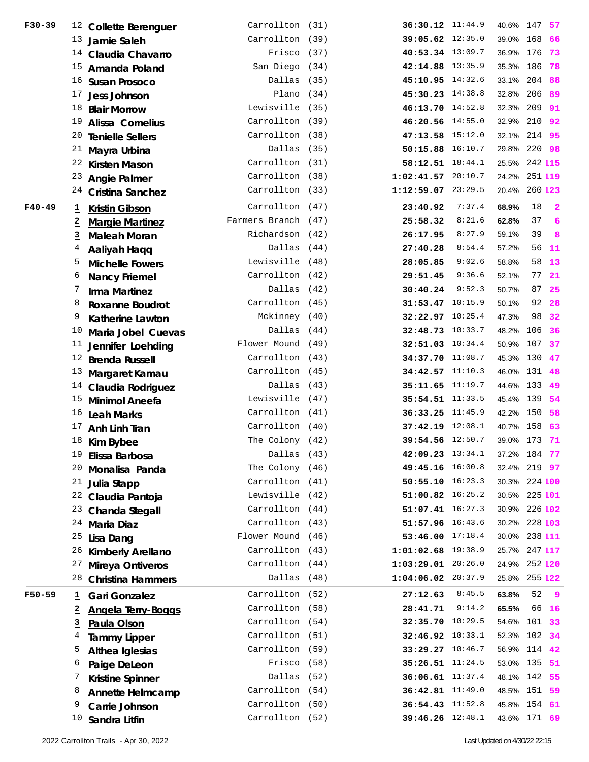| $F30 - 39$ |                         | <sup>12</sup> Collette Berenguer | Carrollton (31)     | 36:30.12 11:44.9     |        | 40.6% 147     |        | 57                      |
|------------|-------------------------|----------------------------------|---------------------|----------------------|--------|---------------|--------|-------------------------|
|            |                         | <sup>13</sup> Jamie Saleh        | Carrollton (39)     | 39:05.62 12:35.0     |        | 39.0% 168     |        | 66                      |
|            |                         | 14 Claudia Chavarro              | Frisco (37)         | 40:53.34 13:09.7     |        | 36.9% 176     |        | 73                      |
|            |                         | <sup>15</sup> Amanda Poland      | San Diego (34)      | 42:14.88 13:35.9     |        | 35.3% 186     |        | 78                      |
|            |                         | <sup>16</sup> Susan Prosoco      | Dallas (35)         | 45:10.95 14:32.6     |        | 33.1% 204 88  |        |                         |
|            | 17                      | Jess Johnson                     | Plano $(34)$        | 45:30.23 14:38.8     |        | 32.8% 206 89  |        |                         |
|            | 18                      | <b>Blair Morrow</b>              | Lewisville (35)     | 46:13.70 14:52.8     |        | 32.3% 209 91  |        |                         |
|            |                         | <sup>19</sup> Alissa Cornelius   | Carrollton (39)     | 46:20.56 14:55.0     |        | 32.9% 210 92  |        |                         |
|            | 20                      | <b>Tenielle Sellers</b>          | Carrollton (38)     | 47:13.58 15:12.0     |        | 32.1%         | 214 95 |                         |
|            |                         | $21$ Mayra Urbina                | Dallas (35)         | 50:15.88 16:10.7     |        | 29.8% 220 98  |        |                         |
|            |                         | <sup>22</sup> Kirsten Mason      | Carrollton (31)     | 58:12.51 18:44.1     |        | 25.5% 242 115 |        |                         |
|            | 23                      | <b>Angie Palmer</b>              | Carrollton (38)     | $1:02:41.57$ 20:10.7 |        | 24.2% 251 119 |        |                         |
|            |                         | <sup>24</sup> Cristina Sanchez   | Carrollton (33)     | 1:12:59.07 23:29.5   |        | 20.4% 260 123 |        |                         |
| $F40-49$   | $\overline{1}$          | <b>Kristin Gibson</b>            | Carrollton (47)     | 23:40.92             | 7:37.4 | 68.9%         | 18     | $\overline{\mathbf{2}}$ |
|            | $\overline{2}$          | <b>Margie Martinez</b>           | Farmers Branch (47) | 25:58.32             | 8:21.6 | 62.8%         | 37     | 6                       |
|            | $\overline{3}$          | <b>Maleah Moran</b>              | Richardson (42)     | 26:17.95             | 8:27.9 | 59.1%         | 39     | 8                       |
|            | 4                       | Aaliyah Haqq                     | Dallas (44)         | 27:40.28             | 8:54.4 | 57.2%         | 56     | -11                     |
|            | 5                       | <b>Michelle Fowers</b>           | Lewisville (48)     | 28:05.85             | 9:02.6 | 58.8%         | 58     | 13                      |
|            | 6                       | <b>Nancy Friemel</b>             | Carrollton (42)     | 29:51.45             | 9:36.6 | 52.1%         | 77     | 21                      |
|            | 7                       | Irma Martinez                    | Dallas (42)         | 30:40.24             | 9:52.3 | 50.7%         | 87     | 25                      |
|            | 8                       | <b>Roxanne Boudrot</b>           | Carrollton (45)     | 31:53.47 10:15.9     |        | 50.1%         | 92     | - 28                    |
|            | 9                       | Katherine Lawton                 | Mckinney (40)       | 32:22.97 10:25.4     |        | 47.3%         | 98     | - 32                    |
|            | 10                      | Maria Jobel Cuevas               | Dallas (44)         | 32:48.73 10:33.7     |        | 48.2%         | 106    | 36                      |
|            | 11                      | Jennifer Loehding                | Flower Mound (49)   | 32:51.03 10:34.4     |        | 50.9%         | 107    | - 37                    |
|            | 12                      | <b>Brenda Russell</b>            | Carrollton (43)     | 34:37.70 11:08.7     |        | 45.3% 130 47  |        |                         |
|            | 13                      | Margaret Kamau                   | Carrollton (45)     | 34:42.57 11:10.3     |        | 46.0% 131 48  |        |                         |
|            |                         | <sup>14</sup> Claudia Rodriguez  | Dallas (43)         | 35:11.65 11:19.7     |        | 44.6% 133 49  |        |                         |
|            |                         | <sup>15</sup> Minimol Aneefa     | Lewisville (47)     | $35:54.51$ $11:33.5$ |        | 45.4% 139 54  |        |                         |
|            | 16                      | <b>Leah Marks</b>                | Carrollton (41)     | 36:33.25 11:45.9     |        | 42.2% 150 58  |        |                         |
|            | 17                      | Anh Linh Tran                    | Carrollton (40)     | 37:42.19 12:08.1     |        | 40.7% 158 63  |        |                         |
|            |                         | $18$ Kim Bybee                   | The Colony (42)     | 39:54.56 12:50.7     |        | 39.0% 173 71  |        |                         |
|            | 19                      | Elissa Barbosa                   | Dallas (43)         | 42:09.23 13:34.1     |        | 37.2% 184 77  |        |                         |
|            |                         | <sup>20</sup> Monalisa Panda     | The Colony (46)     | 49:45.16 16:00.8     |        | 32.4% 219 97  |        |                         |
|            | 21                      | Julia Stapp                      | Carrollton (41)     | 50:55.10 16:23.3     |        | 30.3% 224 100 |        |                         |
|            | 22                      | Claudia Pantoja                  | Lewisville (42)     | 51:00.82 16:25.2     |        | 30.5% 225 101 |        |                         |
|            | 23                      | Chanda Stegall                   | Carrollton (44)     | 51:07.41 16:27.3     |        | 30.9% 226 102 |        |                         |
|            | 24                      | <b>Maria Diaz</b>                | Carrollton (43)     | 51:57.96 16:43.6     |        | 30.2% 228 103 |        |                         |
|            | 25                      | Lisa Dang                        | Flower Mound (46)   | 53:46.00 17:18.4     |        | 30.0% 238 111 |        |                         |
|            | 26                      | Kimberly Arellano                | Carrollton (43)     | 1:01:02.68 19:38.9   |        | 25.7% 247 117 |        |                         |
|            | 27                      | Mireya Ontiveros                 | Carrollton (44)     | 1:03:29.01 20:26.0   |        | 24.9% 252 120 |        |                         |
|            | 28                      | <b>Christina Hammers</b>         | Dallas (48)         | 1:04:06.02 20:37.9   |        | 25.8% 255 122 |        |                         |
| $F50 - 59$ | $\overline{1}$          | <b>Gari Gonzalez</b>             | Carrollton (52)     | 27:12.63             | 8:45.5 | 63.8%         | 52     | - 9                     |
|            | 2                       | <b>Angela Terry-Boggs</b>        | Carrollton (58)     | 28:41.71             | 9:14.2 | 65.5%         |        | 66 16                   |
|            | $\overline{\mathbf{3}}$ | Paula Olson                      | Carrollton (54)     | 32:35.70 10:29.5     |        | 54.6% 101 33  |        |                         |
|            | 4                       | <b>Tammy Lipper</b>              | Carrollton (51)     | 32:46.92 10:33.1     |        | 52.3% 102     |        | - 34                    |
|            | 5                       | Althea Iglesias                  | Carrollton (59)     | 33:29.27 10:46.7     |        | 56.9% 114 42  |        |                         |
|            | 6                       | Paige DeLeon                     | Frisco (58)         | 35:26.51 11:24.5     |        | 53.0% 135 51  |        |                         |
|            | 7                       | Kristine Spinner                 | Dallas (52)         | $36:06.61$ 11:37.4   |        | 48.1% 142 55  |        |                         |
|            | 8                       | <b>Annette Helmcamp</b>          | Carrollton (54)     | 36:42.81 11:49.0     |        | 48.5% 151 59  |        |                         |
|            | 9                       | Carrie Johnson                   | Carrollton (50)     | 36:54.43 11:52.8     |        | 45.8% 154 61  |        |                         |
|            | 10                      | Sandra Litfin                    | Carrollton (52)     | 39:46.26 12:48.1     |        | 43.6% 171 69  |        |                         |